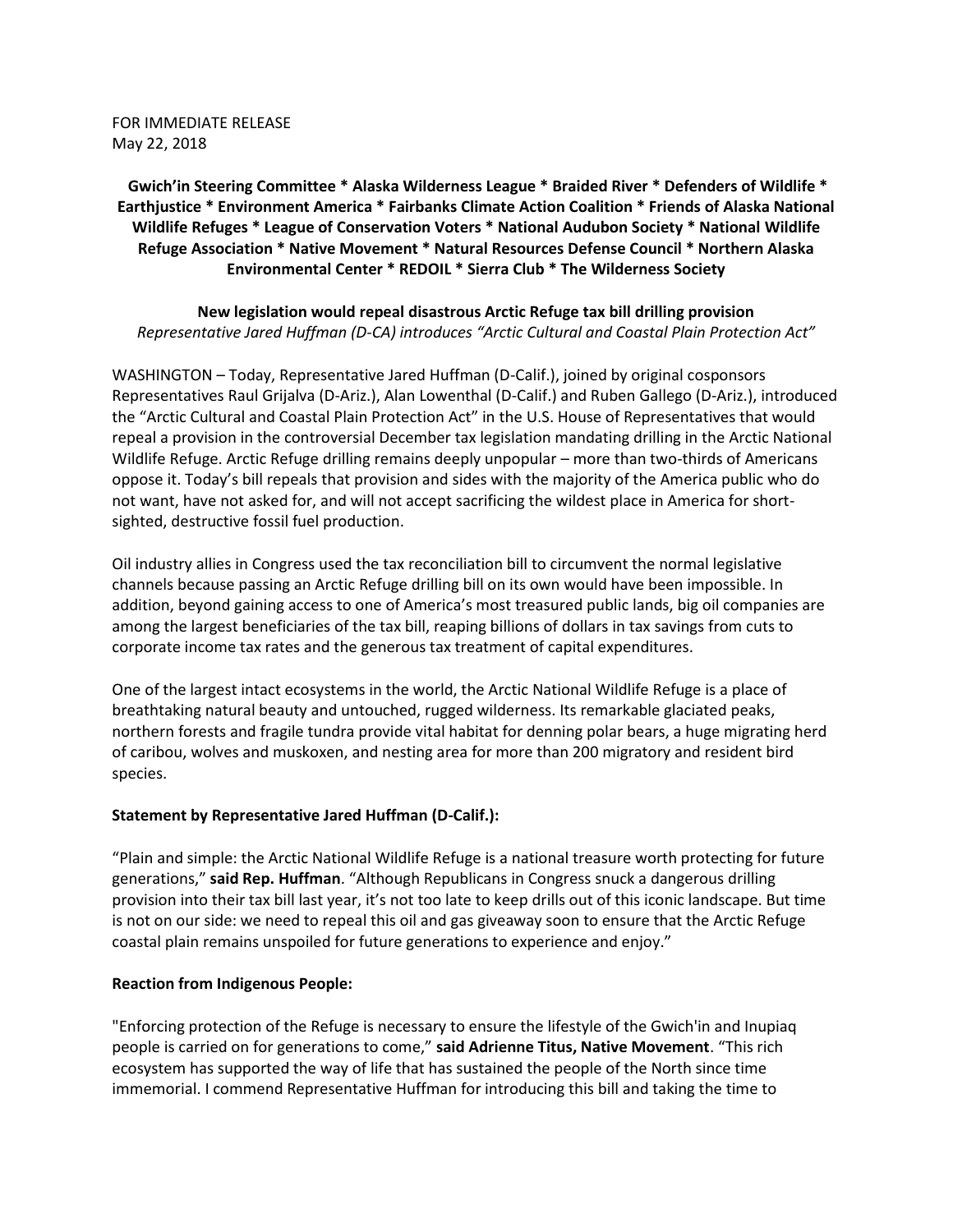## FOR IMMEDIATE RELEASE May 22, 2018

**Gwich'in Steering Committee \* Alaska Wilderness League \* Braided River \* Defenders of Wildlife \* Earthjustice \* Environment America \* Fairbanks Climate Action Coalition \* Friends of Alaska National Wildlife Refuges \* League of Conservation Voters \* National Audubon Society \* National Wildlife Refuge Association \* Native Movement \* Natural Resources Defense Council \* Northern Alaska Environmental Center \* REDOIL \* Sierra Club \* The Wilderness Society**

**New legislation would repeal disastrous Arctic Refuge tax bill drilling provision** *Representative Jared Huffman (D-CA) introduces "Arctic Cultural and Coastal Plain Protection Act"*

WASHINGTON – Today, Representative Jared Huffman (D-Calif.), joined by original cosponsors Representatives Raul Grijalva (D-Ariz.), Alan Lowenthal (D-Calif.) and Ruben Gallego (D-Ariz.), introduced the "Arctic Cultural and Coastal Plain Protection Act" in the U.S. House of Representatives that would repeal a provision in the controversial December tax legislation mandating drilling in the Arctic National Wildlife Refuge. Arctic Refuge drilling remains deeply unpopular – more than two-thirds of Americans oppose it. Today's bill repeals that provision and sides with the majority of the America public who do not want, have not asked for, and will not accept sacrificing the wildest place in America for shortsighted, destructive fossil fuel production.

Oil industry allies in Congress used the tax reconciliation bill to circumvent the normal legislative channels because passing an Arctic Refuge drilling bill on its own would have been impossible. In addition, beyond gaining access to one of America's most treasured public lands, big oil companies are among the largest beneficiaries of the tax bill, reaping billions of dollars in tax savings from cuts to corporate income tax rates and the generous tax treatment of capital expenditures.

One of the largest intact ecosystems in the world, the Arctic National Wildlife Refuge is a place of breathtaking natural beauty and untouched, rugged wilderness. Its remarkable glaciated peaks, northern forests and fragile tundra provide vital habitat for denning polar bears, a huge migrating herd of caribou, wolves and muskoxen, and nesting area for more than 200 migratory and resident bird species.

## **Statement by Representative Jared Huffman (D-Calif.):**

"Plain and simple: the Arctic National Wildlife Refuge is a national treasure worth protecting for future generations," **said Rep. Huffman**. "Although Republicans in Congress snuck a dangerous drilling provision into their tax bill last year, it's not too late to keep drills out of this iconic landscape. But time is not on our side: we need to repeal this oil and gas giveaway soon to ensure that the Arctic Refuge coastal plain remains unspoiled for future generations to experience and enjoy."

#### **Reaction from Indigenous People:**

"Enforcing protection of the Refuge is necessary to ensure the lifestyle of the Gwich'in and Inupiaq people is carried on for generations to come," **said Adrienne Titus, Native Movement**. "This rich ecosystem has supported the way of life that has sustained the people of the North since time immemorial. I commend Representative Huffman for introducing this bill and taking the time to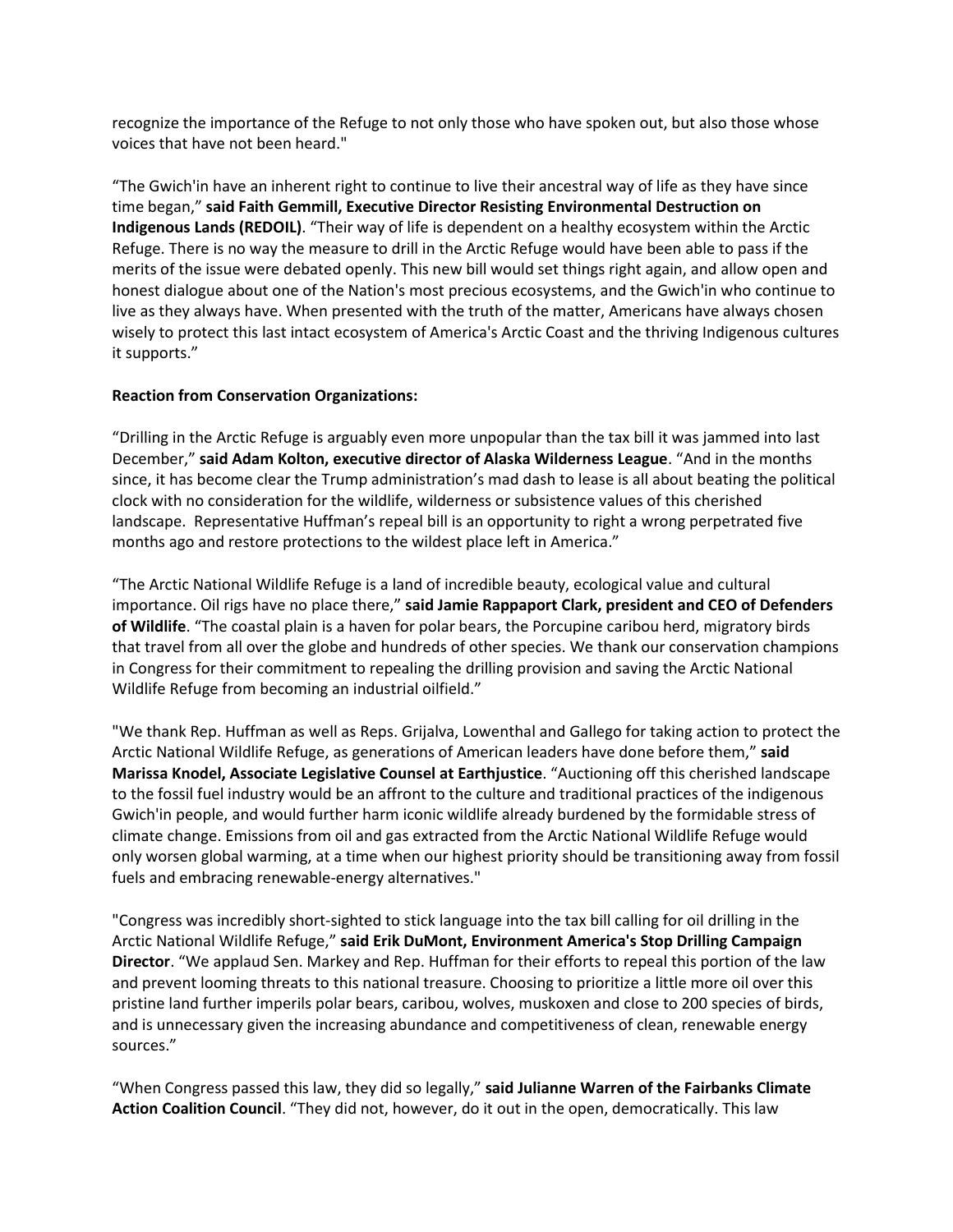recognize the importance of the Refuge to not only those who have spoken out, but also those whose voices that have not been heard."

"The Gwich'in have an inherent right to continue to live their ancestral way of life as they have since time began," **said Faith Gemmill, Executive Director Resisting Environmental Destruction on Indigenous Lands (REDOIL)**. "Their way of life is dependent on a healthy ecosystem within the Arctic Refuge. There is no way the measure to drill in the Arctic Refuge would have been able to pass if the merits of the issue were debated openly. This new bill would set things right again, and allow open and honest dialogue about one of the Nation's most precious ecosystems, and the Gwich'in who continue to live as they always have. When presented with the truth of the matter, Americans have always chosen wisely to protect this last intact ecosystem of America's Arctic Coast and the thriving Indigenous cultures it supports."

# **Reaction from Conservation Organizations:**

"Drilling in the Arctic Refuge is arguably even more unpopular than the tax bill it was jammed into last December," **said Adam Kolton, executive director of Alaska Wilderness League**. "And in the months since, it has become clear the Trump administration's mad dash to lease is all about beating the political clock with no consideration for the wildlife, wilderness or subsistence values of this cherished landscape. Representative Huffman's repeal bill is an opportunity to right a wrong perpetrated five months ago and restore protections to the wildest place left in America."

"The Arctic National Wildlife Refuge is a land of incredible beauty, ecological value and cultural importance. Oil rigs have no place there," **said Jamie Rappaport Clark, president and CEO of Defenders of Wildlife**. "The coastal plain is a haven for polar bears, the Porcupine caribou herd, migratory birds that travel from all over the globe and hundreds of other species. We thank our conservation champions in Congress for their commitment to repealing the drilling provision and saving the Arctic National Wildlife Refuge from becoming an industrial oilfield."

"We thank Rep. Huffman as well as Reps. Grijalva, Lowenthal and Gallego for taking action to protect the Arctic National Wildlife Refuge, as generations of American leaders have done before them," **said Marissa Knodel, Associate Legislative Counsel at Earthjustice**. "Auctioning off this cherished landscape to the fossil fuel industry would be an affront to the culture and traditional practices of the indigenous Gwich'in people, and would further harm iconic wildlife already burdened by the formidable stress of climate change. Emissions from oil and gas extracted from the Arctic National Wildlife Refuge would only worsen global warming, at a time when our highest priority should be transitioning away from fossil fuels and embracing renewable-energy alternatives."

"Congress was incredibly short-sighted to stick language into the tax bill calling for oil drilling in the Arctic National Wildlife Refuge," **said Erik DuMont, Environment America's Stop Drilling Campaign Director**. "We applaud Sen. Markey and Rep. Huffman for their efforts to repeal this portion of the law and prevent looming threats to this national treasure. Choosing to prioritize a little more oil over this pristine land further imperils polar bears, caribou, wolves, muskoxen and close to 200 species of birds, and is unnecessary given the increasing abundance and competitiveness of clean, renewable energy sources."

"When Congress passed this law, they did so legally," **said Julianne Warren of the Fairbanks Climate Action Coalition Council**. "They did not, however, do it out in the open, democratically. This law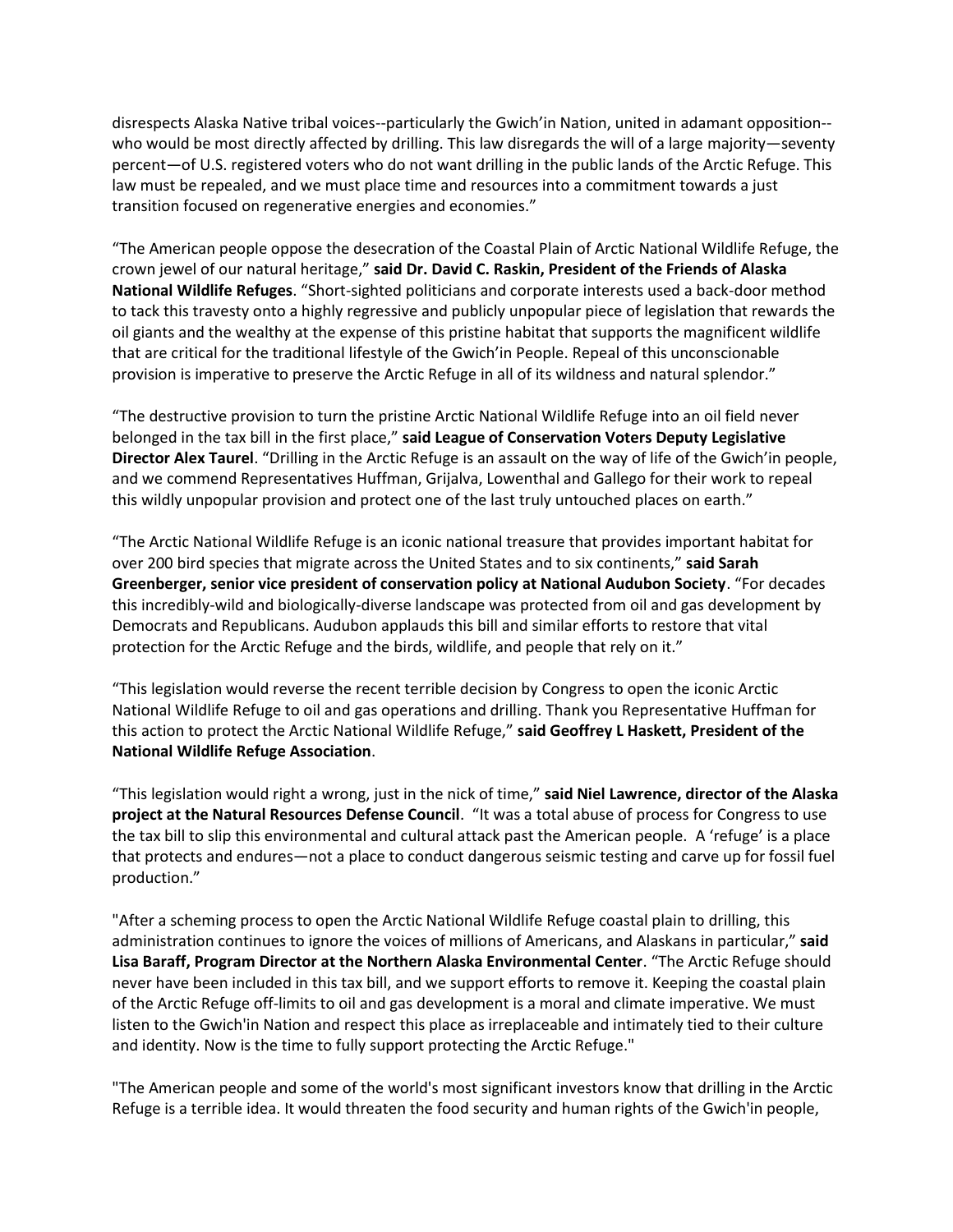disrespects Alaska Native tribal voices--particularly the Gwich'in Nation, united in adamant opposition- who would be most directly affected by drilling. This law disregards the will of a large majority—seventy percent—of U.S. registered voters who do not want drilling in the public lands of the Arctic Refuge. This law must be repealed, and we must place time and resources into a commitment towards a just transition focused on regenerative energies and economies."

"The American people oppose the desecration of the Coastal Plain of Arctic National Wildlife Refuge, the crown jewel of our natural heritage," **said Dr. David C. Raskin, President of the Friends of Alaska National Wildlife Refuges**. "Short-sighted politicians and corporate interests used a back-door method to tack this travesty onto a highly regressive and publicly unpopular piece of legislation that rewards the oil giants and the wealthy at the expense of this pristine habitat that supports the magnificent wildlife that are critical for the traditional lifestyle of the Gwich'in People. Repeal of this unconscionable provision is imperative to preserve the Arctic Refuge in all of its wildness and natural splendor."

"The destructive provision to turn the pristine Arctic National Wildlife Refuge into an oil field never belonged in the tax bill in the first place," **said League of Conservation Voters Deputy Legislative Director Alex Taurel**. "Drilling in the Arctic Refuge is an assault on the way of life of the Gwich'in people, and we commend Representatives Huffman, Grijalva, Lowenthal and Gallego for their work to repeal this wildly unpopular provision and protect one of the last truly untouched places on earth."

"The Arctic National Wildlife Refuge is an iconic national treasure that provides important habitat for over 200 bird species that migrate across the United States and to six continents," **said Sarah Greenberger, senior vice president of conservation policy at National Audubon Society**. "For decades this incredibly-wild and biologically-diverse landscape was protected from oil and gas development by Democrats and Republicans. Audubon applauds this bill and similar efforts to restore that vital protection for the Arctic Refuge and the birds, wildlife, and people that rely on it."

"This legislation would reverse the recent terrible decision by Congress to open the iconic Arctic National Wildlife Refuge to oil and gas operations and drilling. Thank you Representative Huffman for this action to protect the Arctic National Wildlife Refuge," **said Geoffrey L Haskett, President of the National Wildlife Refuge Association**.

"This legislation would right a wrong, just in the nick of time," **said Niel Lawrence, director of the Alaska project at the Natural Resources Defense Council**. "It was a total abuse of process for Congress to use the tax bill to slip this environmental and cultural attack past the American people. A 'refuge' is a place that protects and endures—not a place to conduct dangerous seismic testing and carve up for fossil fuel production."

"After a scheming process to open the Arctic National Wildlife Refuge coastal plain to drilling, this administration continues to ignore the voices of millions of Americans, and Alaskans in particular," **said Lisa Baraff, Program Director at the Northern Alaska Environmental Center**. "The Arctic Refuge should never have been included in this tax bill, and we support efforts to remove it. Keeping the coastal plain of the Arctic Refuge off-limits to oil and gas development is a moral and climate imperative. We must listen to the Gwich'in Nation and respect this place as irreplaceable and intimately tied to their culture and identity. Now is the time to fully support protecting the Arctic Refuge."

"The American people and some of the world's most significant investors know that drilling in the Arctic Refuge is a terrible idea. It would threaten the food security and human rights of the Gwich'in people,